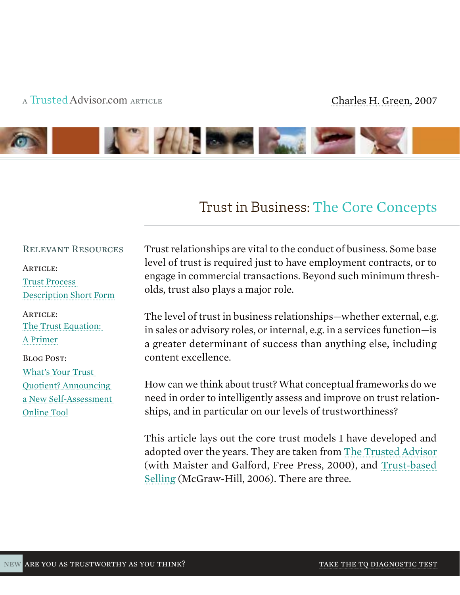# A Trusted [Advisor.com](http://trustedadvisor.com/subscribe/205f6d4fe7899e84cee86a931b8e9ad1) ARTICLE [Charles H. Green, 200](http://trustedadvisor.com/subscribe/44b726f7af4ec54d6e7d26ab516db990)7



# Trust in Business: [The Core Concepts](http://trustedadvisor.com/subscribe/1f3afcf089e65650bbc37c26f6e09507)

### Relevant Resources

ARTICLE: [Trust Process](http://trustedadvisor.com/subscribe/8492d384029f103ca92a3d5308cbb140)  [Description Short Form](http://trustedadvisor.com/subscribe/8492d384029f103ca92a3d5308cbb140)

ARTICLE: [The Trust Equation:](http://trustedadvisor.com/subscribe/ecb66148e3382ef578506b5f7227d5c9)  [A Primer](http://trustedadvisor.com/subscribe/ecb66148e3382ef578506b5f7227d5c9)

Blog Post: [What's Your Trust](http://trustedadvisor.com/subscribe/b4055a14cb58ad033d2e4345a20d1ca3)  [Quotient? Announcing](http://trustedadvisor.com/subscribe/b4055a14cb58ad033d2e4345a20d1ca3)  [a New Self-Assessment](http://trustedadvisor.com/subscribe/b4055a14cb58ad033d2e4345a20d1ca3)  [Online Tool](http://trustedadvisor.com/subscribe/b4055a14cb58ad033d2e4345a20d1ca3)

Trust relationships are vital to the conduct of business. Some base level of trust is required just to have employment contracts, or to engage in commercial transactions. Beyond such minimum thresholds, trust also plays a major role.

The level of trust in business relationships—whether external, e.g. in sales or advisory roles, or internal, e.g. in a services function—is a greater determinant of success than anything else, including content excellence.

How can we think about trust? What conceptual frameworks do we need in order to intelligently assess and improve on trust relationships, and in particular on our levels of trustworthiness?

This article lays out the core trust models I have developed and adopted over the years. They are taken from [The Trusted Advisor](http://www.amazon.com/Trusted-Advisor-David-H-Maister/dp/0743212347/ref=ntt_at_ep_dpi_1) (with Maister and Galford, Free Press, 2000), and [Trust-based](http://www.amazon.com/Trust-Based-Selling-Collaboration-Long-Term-Relationships/dp/0071461949/ref=ntt_at_ep_dpi_2)  [Selling](http://www.amazon.com/Trust-Based-Selling-Collaboration-Long-Term-Relationships/dp/0071461949/ref=ntt_at_ep_dpi_2) (McGraw-Hill, 2006). There are three.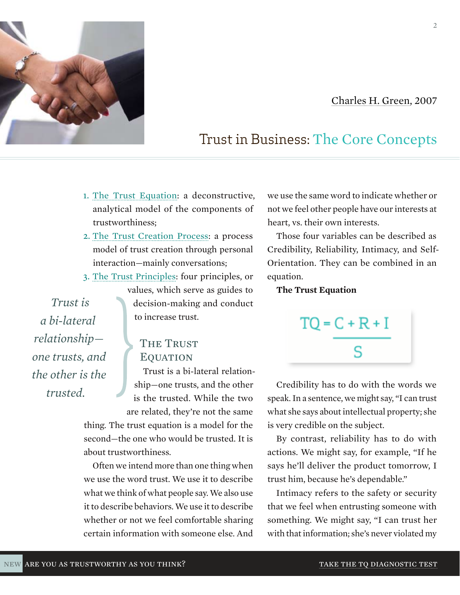

- 1. [The Trust Equation:](http://trustedadvisor.com/subscribe/f7c6c41aabb438d5808e676b8d4bd4b9) a deconstructive, analytical model of the components of trustworthiness;
- 2. [The Trust Creation Process](http://trustedadvisor.com/subscribe/b25e0546990772a04c5aa017a6f4d362): a process model of trust creation through personal interaction—mainly conversations;
- 3. [The Trust Principles](http://trustedadvisor.com/subscribe/6e2ae9b67a774948e2fe9b8167e99dfe): four principles, or values, which serve as guides to

*Trust is a bi-lateral relationship one trusts, and the other is the* 

*trusted.*

# **THE TRUST EQUATION**

to increase trust.

Trust is a bi-lateral relationship—one trusts, and the other is the trusted. While the two are related, they're not the same

decision-making and conduct

thing. The trust equation is a model for the second—the one who would be trusted. It is about trustworthiness.

Often we intend more than one thing when we use the word trust. We use it to describe what we think of what people say. We also use it to describe behaviors. We use it to describe whether or not we feel comfortable sharing certain information with someone else. And

we use the same word to indicate whether or not we feel other people have our interests at heart, vs. their own interests.

Those four variables can be described as Credibility, Reliability, Intimacy, and Self-Orientation. They can be combined in an equation.

**The Trust Equation**

 $TQ = C + R + I$ 

Credibility has to do with the words we speak. In a sentence, we might say, "I can trust what she says about intellectual property; she is very credible on the subject.

By contrast, reliability has to do with actions. We might say, for example, "If he says he'll deliver the product tomorrow, I trust him, because he's dependable."

Intimacy refers to the safety or security that we feel when entrusting someone with something. We might say, "I can trust her with that information; she's never violated my

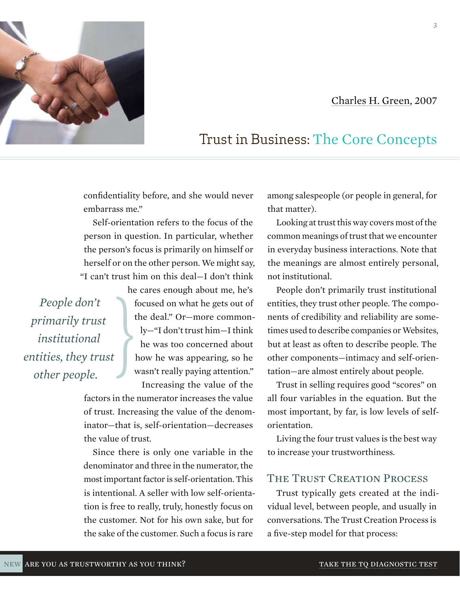

# Trust in Business: [The Core Concepts](http://trustedadvisor.com/subscribe/1f3afcf089e65650bbc37c26f6e09507)

confidentiality before, and she would never embarrass me."

Self-orientation refers to the focus of the person in question. In particular, whether the person's focus is primarily on himself or herself or on the other person. We might say, "I can't trust him on this deal—I don't think

*People don't primarily trust institutional entities, they trust other people.*

he cares enough about me, he's focused on what he gets out of the deal." Or—more commonly—"I don't trust him—I think he was too concerned about how he was appearing, so he wasn't really paying attention." Increasing the value of the

factors in the numerator increases the value of trust. Increasing the value of the denominator—that is, self-orientation—decreases the value of trust.

Since there is only one variable in the denominator and three in the numerator, the most important factor is self-orientation. This is intentional. A seller with low self-orientation is free to really, truly, honestly focus on the customer. Not for his own sake, but for the sake of the customer. Such a focus is rare

among salespeople (or people in general, for that matter).

Looking at trust this way covers most of the common meanings of trust that we encounter in everyday business interactions. Note that the meanings are almost entirely personal, not institutional.

People don't primarily trust institutional entities, they trust other people. The components of credibility and reliability are sometimes used to describe companies or Websites, but at least as often to describe people. The other components—intimacy and self-orientation—are almost entirely about people.

Trust in selling requires good "scores" on all four variables in the equation. But the most important, by far, is low levels of selforientation.

Living the four trust values is the best way to increase your trustworthiness.

### THE TRUST CREATION PROCESS

Trust typically gets created at the individual level, between people, and usually in conversations. The Trust Creation Process is a five-step model for that process:

3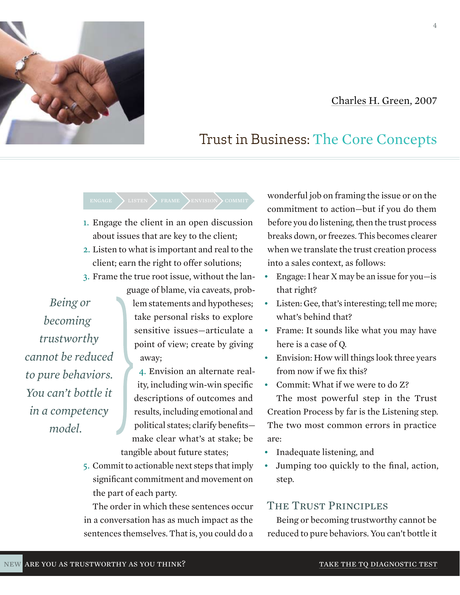



- 1. Engage the client in an open discussion about issues that are key to the client;
- 2. Listen to what is important and real to the client; earn the right to offer solutions;
- 3. Frame the true root issue, without the language of blame, via caveats, prob-

*Being or becoming trustworthy cannot be reduced to pure behaviors. You can't bottle it in a competency model.*

lem statements and hypotheses; take personal risks to explore sensitive issues—articulate a point of view; create by giving away;

4. Envision an alternate reality, including win-win specific descriptions of outcomes and results, including emotional and political states; clarify benefits make clear what's at stake; be tangible about future states;

5. Commit to actionable next steps that imply significant commitment and movement on the part of each party.

The order in which these sentences occur in a conversation has as much impact as the sentences themselves. That is, you could do a

wonderful job on framing the issue or on the commitment to action—but if you do them before you do listening, then the trust process breaks down, or freezes. This becomes clearer when we translate the trust creation process into a sales context, as follows:

- Engage: I hear X may be an issue for you—is that right?
- Listen: Gee, that's interesting; tell me more; what's behind that?
- Frame: It sounds like what you may have here is a case of Q.
- Envision: How will things look three years from now if we fix this?
- Commit: What if we were to do Z? The most powerful step in the Trust

Creation Process by far is the Listening step. The two most common errors in practice are:

- Inadequate listening, and
- Jumping too quickly to the final, action, step.

## THE TRUST PRINCIPLES

Being or becoming trustworthy cannot be reduced to pure behaviors. You can't bottle it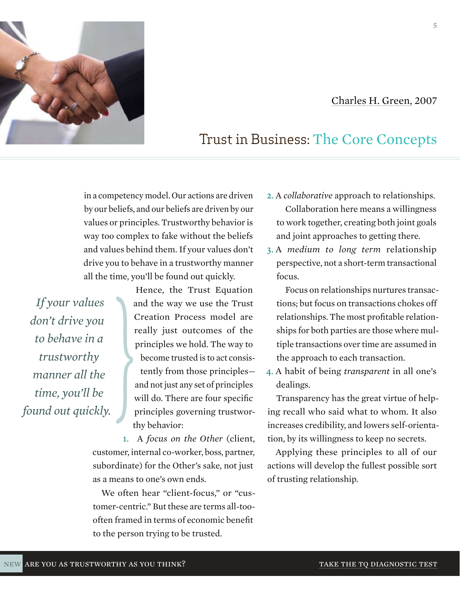

*time, you'll be found out quickly.*

*If your values* 

*don't drive you* 

Hence, the Trust Equation and the way we use the Trust Creation Process model are really just outcomes of the principles we hold. The way to become trusted is to act consistently from those principles and not just any set of principles will do. There are four specific principles governing trustworthy behavior:

in a competency model. Our actions are driven by our beliefs, and our beliefs are driven by our values or principles. Trustworthy behavior is way too complex to fake without the beliefs and values behind them. If your values don't drive you to behave in a trustworthy manner

all the time, you'll be found out quickly.

1. A *focus on the Other* (client, customer, internal co-worker, boss, partner, subordinate) for the Other's sake, not just as a means to one's own ends.

We often hear "client-focus," or "customer-centric." But these are terms all-toooften framed in terms of economic benefit to the person trying to be trusted.

- 2. A *collaborative* approach to relationships. Collaboration here means a willingness to work together, creating both joint goals and joint approaches to getting there.
- 3. A *medium to long term* relationship perspective, not a short-term transactional focus.

Focus on relationships nurtures transactions; but focus on transactions chokes off relationships. The most profitable relationships for both parties are those where multiple transactions over time are assumed in the approach to each transaction.

4. A habit of being *transparent* in all one's dealings.

Transparency has the great virtue of helping recall who said what to whom. It also increases credibility, and lowers self-orientation, by its willingness to keep no secrets.

Applying these principles to all of our actions will develop the fullest possible sort of trusting relationship.



# Trust in Business: [The Core Concepts](http://trustedadvisor.com/subscribe/1f3afcf089e65650bbc37c26f6e09507)